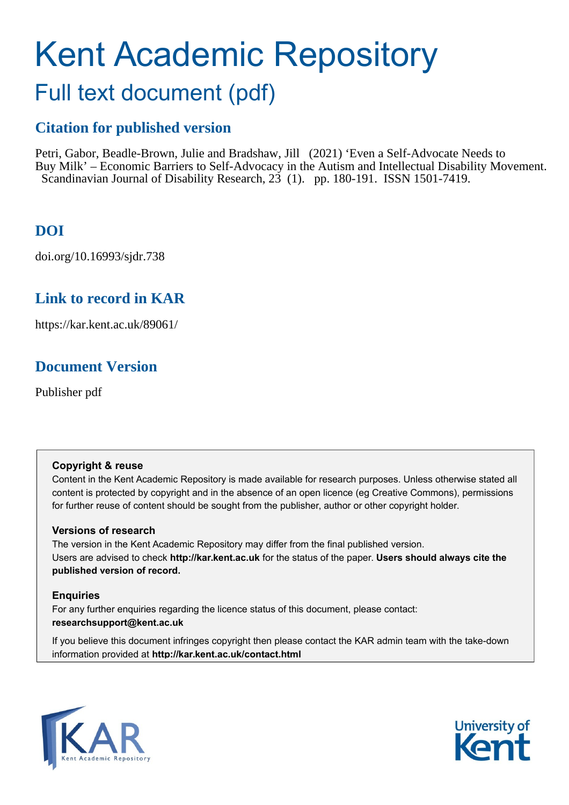# Kent Academic Repository

## Full text document (pdf)

## **Citation for published version**

Petri, Gabor, Beadle-Brown, Julie and Bradshaw, Jill (2021) 'Even a Self-Advocate Needs to Buy Milk' – Economic Barriers to Self-Advocacy in the Autism and Intellectual Disability Movement. Scandinavian Journal of Disability Research, 23 (1). pp. 180-191. ISSN 1501-7419.

## **DOI**

doi.org/10.16993/sjdr.738

## **Link to record in KAR**

https://kar.kent.ac.uk/89061/

## **Document Version**

Publisher pdf

#### **Copyright & reuse**

Content in the Kent Academic Repository is made available for research purposes. Unless otherwise stated all content is protected by copyright and in the absence of an open licence (eg Creative Commons), permissions for further reuse of content should be sought from the publisher, author or other copyright holder.

#### **Versions of research**

The version in the Kent Academic Repository may differ from the final published version. Users are advised to check **http://kar.kent.ac.uk** for the status of the paper. **Users should always cite the published version of record.**

#### **Enquiries**

For any further enquiries regarding the licence status of this document, please contact: **researchsupport@kent.ac.uk**

If you believe this document infringes copyright then please contact the KAR admin team with the take-down information provided at **http://kar.kent.ac.uk/contact.html**



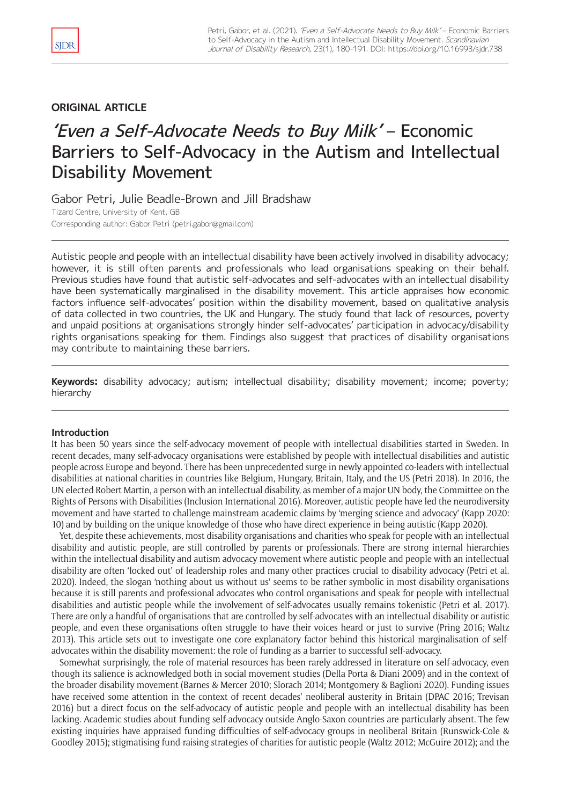#### **ORIGINAL ARTICLE**

## 'Even a Self-Advocate Needs to Buy Milk' – Economic Barriers to Self-Advocacy in the Autism and Intellectual Disability Movement

Gabor Petri, Julie Beadle-Brown and Jill Bradshaw Tizard Centre, University of Kent, GB Corresponding author: Gabor Petri [\(petri.gabor@gmail.com\)](mailto:petri.gabor@gmail.com)

Autistic people and people with an intellectual disability have been actively involved in disability advocacy; however, it is still often parents and professionals who lead organisations speaking on their behalf. Previous studies have found that autistic self-advocates and self-advocates with an intellectual disability have been systematically marginalised in the disability movement. This article appraises how economic factors influence self-advocates' position within the disability movement, based on qualitative analysis of data collected in two countries, the UK and Hungary. The study found that lack of resources, poverty and unpaid positions at organisations strongly hinder self-advocates' participation in advocacy/disability rights organisations speaking for them. Findings also suggest that practices of disability organisations may contribute to maintaining these barriers.

**Keywords:** disability advocacy; autism; intellectual disability; disability movement; income; poverty; hierarchy

#### **Introduction**

It has been 50 years since the self-advocacy movement of people with intellectual disabilities started in Sweden. In recent decades, many self-advocacy organisations were established by people with intellectual disabilities and autistic people across Europe and beyond. There has been unprecedented surge in newly appointed co-leaders with intellectual disabilities at national charities in countries like Belgium, Hungary, Britain, Italy, and the US (Petri 2018). In 2016, the UN elected Robert Martin, a person with an intellectual disability, as member of a major UN body, the Committee on the Rights of Persons with Disabilities (Inclusion International 2016). Moreover, autistic people have led the neurodiversity movement and have started to challenge mainstream academic claims by 'merging science and advocacy' (Kapp 2020: 10) and by building on the unique knowledge of those who have direct experience in being autistic (Kapp 2020).

Yet, despite these achievements, most disability organisations and charities who speak for people with an intellectual disability and autistic people, are still controlled by parents or professionals. There are strong internal hierarchies within the intellectual disability and autism advocacy movement where autistic people and people with an intellectual disability are often 'locked out' of leadership roles and many other practices crucial to disability advocacy (Petri et al. 2020). Indeed, the slogan 'nothing about us without us' seems to be rather symbolic in most disability organisations because it is still parents and professional advocates who control organisations and speak for people with intellectual disabilities and autistic people while the involvement of self-advocates usually remains tokenistic (Petri et al. 2017). There are only a handful of organisations that are controlled by self-advocates with an intellectual disability or autistic people, and even these organisations often struggle to have their voices heard or just to survive (Pring 2016; Waltz 2013). This article sets out to investigate one core explanatory factor behind this historical marginalisation of selfadvocates within the disability movement: the role of funding as a barrier to successful self-advocacy.

Somewhat surprisingly, the role of material resources has been rarely addressed in literature on self-advocacy, even though its salience is acknowledged both in social movement studies (Della Porta & Diani 2009) and in the context of the broader disability movement (Barnes & Mercer 2010; Slorach 2014; Montgomery & Baglioni 2020). Funding issues have received some attention in the context of recent decades' neoliberal austerity in Britain (DPAC 2016; Trevisan 2016) but a direct focus on the self-advocacy of autistic people and people with an intellectual disability has been lacking. Academic studies about funding self-advocacy outside Anglo-Saxon countries are particularly absent. The few existing inquiries have appraised funding difficulties of self-advocacy groups in neoliberal Britain (Runswick-Cole & Goodley 2015); stigmatising fund-raising strategies of charities for autistic people (Waltz 2012; McGuire 2012); and the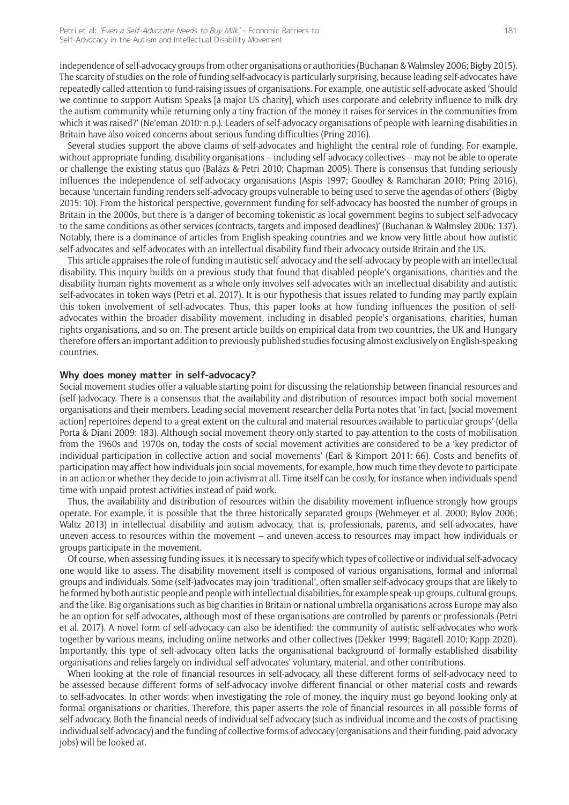independence of self-advocacy groups from other organisations or authorities (Buchanan & Walmsley 2006; Bigby 2015). The scarcity of studies on the role of funding self-advocacy is particularly surprising, because leading self-advocates have repeatedly called attention to fund-raising issues of organisations. For example, one autistic self-advocate asked 'Should we continue to support Autism Speaks [a major US charity], which uses corporate and celebrity influence to milk dry the autism community while returning only a tiny fraction of the money it raises for services in the communities from which it was raised?' (Ne'eman 2010: n.p.). Leaders of self-advocacy organisations of people with learning disabilities in Britain have also voiced concerns about serious funding difficulties (Pring 2016).

Several studies support the above claims of self-advocates and highlight the central role of funding. For example, without appropriate funding, disability organisations – including self-advocacy collectives – may not be able to operate or challenge the existing status quo (Balázs & Petri 2010; Chapman 2005). There is consensus that funding seriously influences the independence of self-advocacy organisations (Aspis 1997; Goodley & Ramcharan 2010; Pring 2016), because 'uncertain funding renders self-advocacy groups vulnerable to being used to serve the agendas of others' (Bigby 2015: 10). From the historical perspective, government funding for self-advocacy has boosted the number of groups in Britain in the 2000s, but there is 'a danger of becoming tokenistic as local government begins to subject self-advocacy to the same conditions as other services (contracts, targets and imposed deadlines)' (Buchanan & Walmsley 2006: 137). Notably, there is a dominance of articles from English-speaking countries and we know very little about how autistic self-advocates and self-advocates with an intellectual disability fund their advocacy outside Britain and the US.

This article appraises the role of funding in autistic self-advocacy and the self-advocacy by people with an intellectual disability. This inquiry builds on a previous study that found that disabled people's organisations, charities and the disability human rights movement as a whole only involves self-advocates with an intellectual disability and autistic self-advocates in token ways (Petri et al. 2017). It is our hypothesis that issues related to funding may partly explain this token involvement of self-advocates. Thus, this paper looks at how funding influences the position of selfadvocates within the broader disability movement, including in disabled people's organisations, charities, human rights organisations, and so on. The present article builds on empirical data from two countries, the UK and Hungary therefore offers an important addition to previously published studies focusing almost exclusively on English-speaking countries.

#### **Why does money matter in self-advocacy?**

Social movement studies offer a valuable starting point for discussing the relationship between financial resources and (self-)advocacy. There is a consensus that the availability and distribution of resources impact both social movement organisations and their members. Leading social movement researcher della Porta notes that 'in fact, [social movement action] repertoires depend to a great extent on the cultural and material resources available to particular groups' (della Porta & Diani 2009: 183). Although social movement theory only started to pay attention to the costs of mobilisation from the 1960s and 1970s on, today the costs of social movement activities are considered to be a 'key predictor of individual participation in collective action and social movements' (Earl & Kimport 2011: 66). Costs and benefits of participation may affect how individuals join social movements, for example, how much time they devote to participate in an action or whether they decide to join activism at all. Time itself can be costly, for instance when individuals spend time with unpaid protest activities instead of paid work.

Thus, the availability and distribution of resources within the disability movement influence strongly how groups operate. For example, it is possible that the three historically separated groups (Wehmeyer et al. 2000; Bylov 2006; Waltz 2013) in intellectual disability and autism advocacy, that is, professionals, parents, and self-advocates, have uneven access to resources within the movement – and uneven access to resources may impact how individuals or groups participate in the movement.

Of course, when assessing funding issues, it is necessary to specify which types of collective or individual self-advocacy one would like to assess. The disability movement itself is composed of various organisations, formal and informal groups and individuals. Some (self-)advocates may join 'traditional', often smaller self-advocacy groups that are likely to be formed by both autistic people and people with intellectual disabilities, for example speak-up groups, cultural groups, and the like. Big organisations such as big charities in Britain or national umbrella organisations across Europe may also be an option for self-advocates, although most of these organisations are controlled by parents or professionals (Petri et al. 2017). A novel form of self-advocacy can also be identified: the community of autistic self-advocates who work together by various means, including online networks and other collectives (Dekker 1999; Bagatell 2010; Kapp 2020). Importantly, this type of self-advocacy often lacks the organisational background of formally established disability organisations and relies largely on individual self-advocates' voluntary, material, and other contributions.

When looking at the role of financial resources in self-advocacy, all these different forms of self-advocacy need to be assessed because different forms of self-advocacy involve different financial or other material costs and rewards to self-advocates. In other words: when investigating the role of money, the inquiry must go beyond looking only at formal organisations or charities. Therefore, this paper asserts the role of financial resources in all possible forms of self-advocacy. Both the financial needs of individual self-advocacy (such as individual income and the costs of practising individual self-advocacy) and the funding of collective forms of advocacy (organisations and their funding, paid advocacy jobs) will be looked at.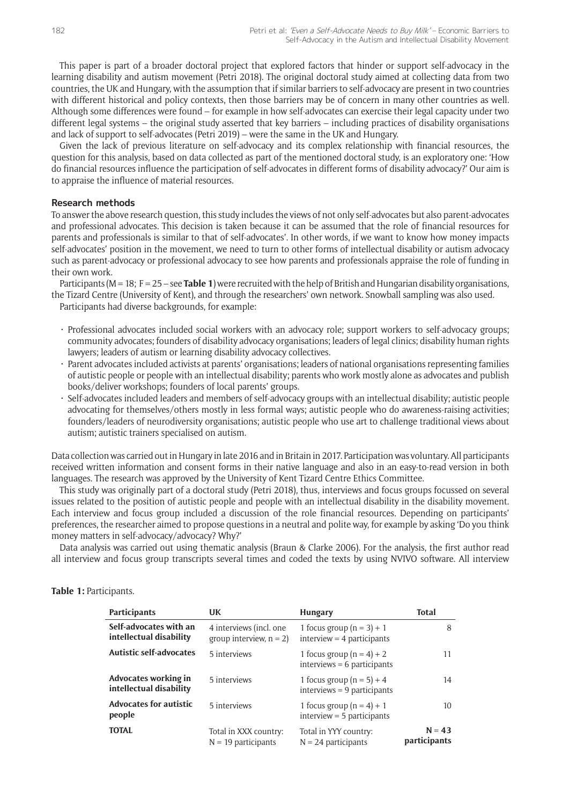This paper is part of a broader doctoral project that explored factors that hinder or support self-advocacy in the learning disability and autism movement (Petri 2018). The original doctoral study aimed at collecting data from two countries, the UK and Hungary, with the assumption that if similar barriers to self-advocacy are present in two countries with different historical and policy contexts, then those barriers may be of concern in many other countries as well. Although some differences were found – for example in how self-advocates can exercise their legal capacity under two different legal systems – the original study asserted that key barriers – including practices of disability organisations and lack of support to self-advocates (Petri 2019) – were the same in the UK and Hungary.

Given the lack of previous literature on self-advocacy and its complex relationship with financial resources, the question for this analysis, based on data collected as part of the mentioned doctoral study, is an exploratory one: 'How do financial resources influence the participation of self-advocates in different forms of disability advocacy?' Our aim is to appraise the influence of material resources.

#### **Research methods**

To answer the above research question, this study includes the views of not only self-advocates but also parent-advocates and professional advocates. This decision is taken because it can be assumed that the role of financial resources for parents and professionals is similar to that of self-advocates'. In other words, if we want to know how money impacts self-advocates' position in the movement, we need to turn to other forms of intellectual disability or autism advocacy such as parent-advocacy or professional advocacy to see how parents and professionals appraise the role of funding in their own work.

Participants (M = 18; F = 25 – see **Table 1**) were recruited with the help of British and Hungarian disability organisations, the Tizard Centre (University of Kent), and through the researchers' own network. Snowball sampling was also used.

Participants had diverse backgrounds, for example:

- • Professional advocates included social workers with an advocacy role; support workers to self-advocacy groups; community advocates; founders of disability advocacy organisations; leaders of legal clinics; disability human rights lawyers; leaders of autism or learning disability advocacy collectives.
- • Parent advocates included activists at parents' organisations; leaders of national organisations representing families of autistic people or people with an intellectual disability; parents who work mostly alone as advocates and publish books/deliver workshops; founders of local parents' groups.
- Self-advocates included leaders and members of self-advocacy groups with an intellectual disability; autistic people advocating for themselves/others mostly in less formal ways; autistic people who do awareness-raising activities; founders/leaders of neurodiversity organisations; autistic people who use art to challenge traditional views about autism; autistic trainers specialised on autism.

Data collection was carried out in Hungary in late 2016 and in Britain in 2017. Participation was voluntary. All participants received written information and consent forms in their native language and also in an easy-to-read version in both languages. The research was approved by the University of Kent Tizard Centre Ethics Committee.

This study was originally part of a doctoral study (Petri 2018), thus, interviews and focus groups focussed on several issues related to the position of autistic people and people with an intellectual disability in the disability movement. Each interview and focus group included a discussion of the role financial resources. Depending on participants' preferences, the researcher aimed to propose questions in a neutral and polite way, for example by asking 'Do you think money matters in self-advocacy/advocacy? Why?'

Data analysis was carried out using thematic analysis (Braun & Clarke 2006). For the analysis, the first author read all interview and focus group transcripts several times and coded the texts by using NVIVO software. All interview

| <b>Participants</b>                               | UK                                                    | <b>Hungary</b>                                               | <b>Total</b>             |
|---------------------------------------------------|-------------------------------------------------------|--------------------------------------------------------------|--------------------------|
| Self-advocates with an<br>intellectual disability | 4 interviews (incl. one<br>group interview, $n = 2$ ) | 1 focus group $(n = 3) + 1$<br>$interview = 4$ participants  | 8                        |
| <b>Autistic self-advocates</b>                    | 5 interviews                                          | 1 focus group $(n = 4) + 2$<br>$interviews = 6$ participants | 11                       |
| Advocates working in<br>intellectual disability   | 5 interviews                                          | 1 focus group $(n = 5) + 4$<br>$interviews = 9$ participants | 14                       |
| <b>Advocates for autistic</b><br>people           | 5 interviews                                          | 1 focus group $(n = 4) + 1$<br>$interview = 5$ participants  | 10                       |
| <b>TOTAL</b>                                      | Total in XXX country:<br>$N = 19$ participants        | Total in YYY country:<br>$N = 24$ participants               | $N = 43$<br>participants |

#### **Table 1:** Participants.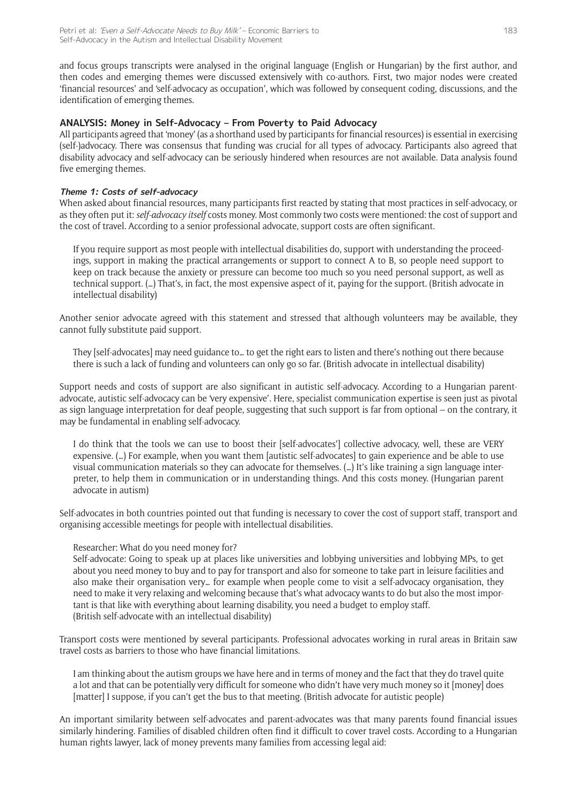and focus groups transcripts were analysed in the original language (English or Hungarian) by the first author, and then codes and emerging themes were discussed extensively with co-authors. First, two major nodes were created 'financial resources' and 'self-advocacy as occupation', which was followed by consequent coding, discussions, and the identification of emerging themes.

#### **ANALYSIS: Money in Self-Advocacy – From Poverty to Paid Advocacy**

All participants agreed that 'money' (as a shorthand used by participants for financial resources) is essential in exercising (self-)advocacy. There was consensus that funding was crucial for all types of advocacy. Participants also agreed that disability advocacy and self-advocacy can be seriously hindered when resources are not available. Data analysis found five emerging themes.

#### **Theme 1: Costs of self-advocacy**

When asked about financial resources, many participants first reacted by stating that most practices in self-advocacy, or as they often put it: *self-advocacy itself* costs money. Most commonly two costs were mentioned: the cost of support and the cost of travel. According to a senior professional advocate, support costs are often significant.

If you require support as most people with intellectual disabilities do, support with understanding the proceedings, support in making the practical arrangements or support to connect A to B, so people need support to keep on track because the anxiety or pressure can become too much so you need personal support, as well as technical support. (…) That's, in fact, the most expensive aspect of it, paying for the support. (British advocate in intellectual disability)

Another senior advocate agreed with this statement and stressed that although volunteers may be available, they cannot fully substitute paid support.

They [self-advocates] may need guidance to… to get the right ears to listen and there's nothing out there because there is such a lack of funding and volunteers can only go so far. (British advocate in intellectual disability)

Support needs and costs of support are also significant in autistic self-advocacy. According to a Hungarian parentadvocate, autistic self-advocacy can be 'very expensive'. Here, specialist communication expertise is seen just as pivotal as sign language interpretation for deaf people, suggesting that such support is far from optional – on the contrary, it may be fundamental in enabling self-advocacy.

I do think that the tools we can use to boost their [self-advocates'] collective advocacy, well, these are VERY expensive. (…) For example, when you want them [autistic self-advocates] to gain experience and be able to use visual communication materials so they can advocate for themselves. (…) It's like training a sign language interpreter, to help them in communication or in understanding things. And this costs money. (Hungarian parent advocate in autism)

Self-advocates in both countries pointed out that funding is necessary to cover the cost of support staff, transport and organising accessible meetings for people with intellectual disabilities.

#### Researcher: What do you need money for?

Self-advocate: Going to speak up at places like universities and lobbying universities and lobbying MPs, to get about you need money to buy and to pay for transport and also for someone to take part in leisure facilities and also make their organisation very… for example when people come to visit a self-advocacy organisation, they need to make it very relaxing and welcoming because that's what advocacy wants to do but also the most important is that like with everything about learning disability, you need a budget to employ staff. (British self-advocate with an intellectual disability)

Transport costs were mentioned by several participants. Professional advocates working in rural areas in Britain saw travel costs as barriers to those who have financial limitations.

I am thinking about the autism groups we have here and in terms of money and the fact that they do travel quite a lot and that can be potentially very difficult for someone who didn't have very much money so it [money] does [matter] I suppose, if you can't get the bus to that meeting. (British advocate for autistic people)

An important similarity between self-advocates and parent-advocates was that many parents found financial issues similarly hindering. Families of disabled children often find it difficult to cover travel costs. According to a Hungarian human rights lawyer, lack of money prevents many families from accessing legal aid: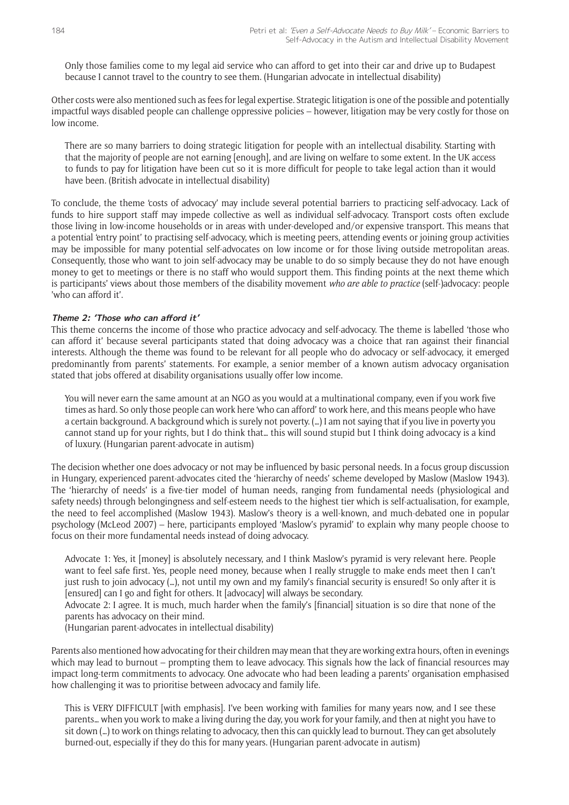Only those families come to my legal aid service who can afford to get into their car and drive up to Budapest because I cannot travel to the country to see them. (Hungarian advocate in intellectual disability)

Other costs were also mentioned such as fees for legal expertise. Strategic litigation is one of the possible and potentially impactful ways disabled people can challenge oppressive policies – however, litigation may be very costly for those on low income.

There are so many barriers to doing strategic litigation for people with an intellectual disability. Starting with that the majority of people are not earning [enough], and are living on welfare to some extent. In the UK access to funds to pay for litigation have been cut so it is more difficult for people to take legal action than it would have been. (British advocate in intellectual disability)

To conclude, the theme 'costs of advocacy' may include several potential barriers to practicing self-advocacy. Lack of funds to hire support staff may impede collective as well as individual self-advocacy. Transport costs often exclude those living in low-income households or in areas with under-developed and/or expensive transport. This means that a potential 'entry point' to practising self-advocacy, which is meeting peers, attending events or joining group activities may be impossible for many potential self-advocates on low income or for those living outside metropolitan areas. Consequently, those who want to join self-advocacy may be unable to do so simply because they do not have enough money to get to meetings or there is no staff who would support them. This finding points at the next theme which is participants' views about those members of the disability movement *who are able to practice* (self-)advocacy: people 'who can afford it'.

#### **Theme 2: 'Those who can afford it'**

This theme concerns the income of those who practice advocacy and self-advocacy. The theme is labelled 'those who can afford it' because several participants stated that doing advocacy was a choice that ran against their financial interests. Although the theme was found to be relevant for all people who do advocacy or self-advocacy, it emerged predominantly from parents' statements. For example, a senior member of a known autism advocacy organisation stated that jobs offered at disability organisations usually offer low income.

You will never earn the same amount at an NGO as you would at a multinational company, even if you work five times as hard. So only those people can work here 'who can afford' to work here, and this means people who have a certain background. A background which is surely not poverty. (…) I am not saying that if you live in poverty you cannot stand up for your rights, but I do think that… this will sound stupid but I think doing advocacy is a kind of luxury. (Hungarian parent-advocate in autism)

The decision whether one does advocacy or not may be influenced by basic personal needs. In a focus group discussion in Hungary, experienced parent-advocates cited the 'hierarchy of needs' scheme developed by Maslow (Maslow 1943). The 'hierarchy of needs' is a five-tier model of human needs, ranging from fundamental needs (physiological and safety needs) through belongingness and self-esteem needs to the highest tier which is self-actualisation, for example, the need to feel accomplished (Maslow 1943). Maslow's theory is a well-known, and much-debated one in popular psychology (McLeod 2007) – here, participants employed 'Maslow's pyramid' to explain why many people choose to focus on their more fundamental needs instead of doing advocacy.

Advocate 1: Yes, it [money] is absolutely necessary, and I think Maslow's pyramid is very relevant here. People want to feel safe first. Yes, people need money, because when I really struggle to make ends meet then I can't just rush to join advocacy (…), not until my own and my family's financial security is ensured! So only after it is [ensured] can I go and fight for others. It [advocacy] will always be secondary.

Advocate 2: I agree. It is much, much harder when the family's [financial] situation is so dire that none of the parents has advocacy on their mind.

(Hungarian parent-advocates in intellectual disability)

Parents also mentioned how advocating for their children may mean that they are working extra hours, often in evenings which may lead to burnout – prompting them to leave advocacy. This signals how the lack of financial resources may impact long-term commitments to advocacy. One advocate who had been leading a parents' organisation emphasised how challenging it was to prioritise between advocacy and family life.

This is VERY DIFFICULT [with emphasis]. I've been working with families for many years now, and I see these parents… when you work to make a living during the day, you work for your family, and then at night you have to sit down (…) to work on things relating to advocacy, then this can quickly lead to burnout. They can get absolutely burned-out, especially if they do this for many years. (Hungarian parent-advocate in autism)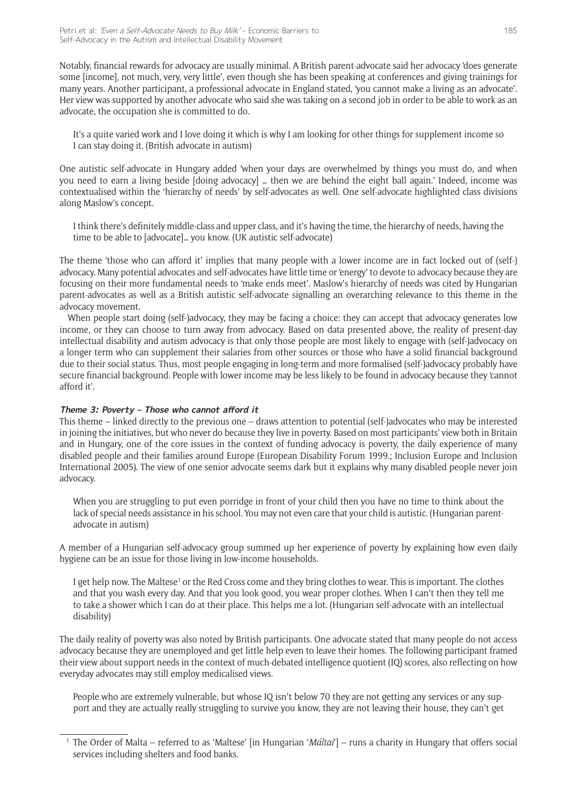Notably, financial rewards for advocacy are usually minimal. A British parent-advocate said her advocacy 'does generate some [income], not much, very, very little', even though she has been speaking at conferences and giving trainings for many years. Another participant, a professional advocate in England stated, 'you cannot make a living as an advocate'. Her view was supported by another advocate who said she was taking on a second job in order to be able to work as an advocate, the occupation she is committed to do.

It's a quite varied work and I love doing it which is why I am looking for other things for supplement income so I can stay doing it. (British advocate in autism)

One autistic self-advocate in Hungary added 'when your days are overwhelmed by things you must do, and when you need to earn a living beside [doing advocacy] … then we are behind the eight ball again.' Indeed, income was contextualised within the 'hierarchy of needs' by self-advocates as well. One self-advocate highlighted class divisions along Maslow's concept.

I think there's definitely middle-class and upper class, and it's having the time, the hierarchy of needs, having the time to be able to [advocate]… you know. (UK autistic self-advocate)

The theme 'those who can afford it' implies that many people with a lower income are in fact locked out of (self-) advocacy. Many potential advocates and self-advocates have little time or 'energy' to devote to advocacy because they are focusing on their more fundamental needs to 'make ends meet'. Maslow's hierarchy of needs was cited by Hungarian parent-advocates as well as a British autistic self-advocate signalling an overarching relevance to this theme in the advocacy movement.

When people start doing (self-)advocacy, they may be facing a choice: they can accept that advocacy generates low income, or they can choose to turn away from advocacy. Based on data presented above, the reality of present-day intellectual disability and autism advocacy is that only those people are most likely to engage with (self-)advocacy on a longer term who can supplement their salaries from other sources or those who have a solid financial background due to their social status. Thus, most people engaging in long-term and more formalised (self-)advocacy probably have secure financial background. People with lower income may be less likely to be found in advocacy because they 'cannot afford it'.

#### **Theme 3: Poverty – Those who cannot afford it**

This theme – linked directly to the previous one – draws attention to potential (self-)advocates who may be interested in joining the initiatives, but who never do because they live in poverty. Based on most participants' view both in Britain and in Hungary, one of the core issues in the context of funding advocacy is poverty, the daily experience of many disabled people and their families around Europe (European Disability Forum 1999.; Inclusion Europe and Inclusion International 2005). The view of one senior advocate seems dark but it explains why many disabled people never join advocacy.

When you are struggling to put even porridge in front of your child then you have no time to think about the lack of special needs assistance in his school. You may not even care that your child is autistic. (Hungarian parentadvocate in autism)

A member of a Hungarian self-advocacy group summed up her experience of poverty by explaining how even daily hygiene can be an issue for those living in low-income households.

I get help now. The Maltese<sup>1</sup> or the Red Cross come and they bring clothes to wear. This is important. The clothes and that you wash every day. And that you look good, you wear proper clothes. When I can't then they tell me to take a shower which I can do at their place. This helps me a lot. (Hungarian self-advocate with an intellectual disability)

The daily reality of poverty was also noted by British participants. One advocate stated that many people do not access advocacy because they are unemployed and get little help even to leave their homes. The following participant framed their view about support needs in the context of much-debated intelligence quotient (IQ) scores, also reflecting on how everyday advocates may still employ medicalised views.

People who are extremely vulnerable, but whose IQ isn't below 70 they are not getting any services or any support and they are actually really struggling to survive you know, they are not leaving their house, they can't get

<sup>1</sup> The Order of Malta – referred to as 'Maltese' [in Hungarian '*Máltai*'] – runs a charity in Hungary that offers social services including shelters and food banks.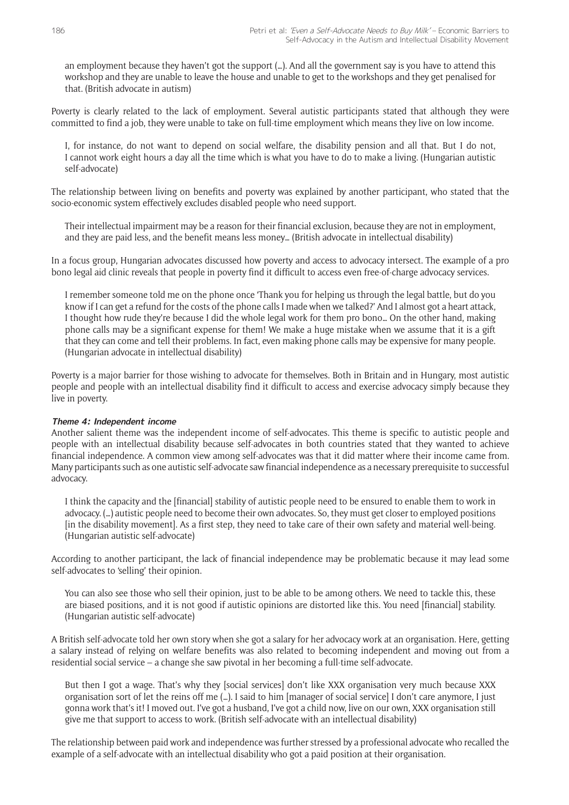an employment because they haven't got the support (…). And all the government say is you have to attend this workshop and they are unable to leave the house and unable to get to the workshops and they get penalised for that. (British advocate in autism)

Poverty is clearly related to the lack of employment. Several autistic participants stated that although they were committed to find a job, they were unable to take on full-time employment which means they live on low income.

I, for instance, do not want to depend on social welfare, the disability pension and all that. But I do not, I cannot work eight hours a day all the time which is what you have to do to make a living. (Hungarian autistic self-advocate)

The relationship between living on benefits and poverty was explained by another participant, who stated that the socio-economic system effectively excludes disabled people who need support.

Their intellectual impairment may be a reason for their financial exclusion, because they are not in employment, and they are paid less, and the benefit means less money… (British advocate in intellectual disability)

In a focus group, Hungarian advocates discussed how poverty and access to advocacy intersect. The example of a pro bono legal aid clinic reveals that people in poverty find it difficult to access even free-of-charge advocacy services.

I remember someone told me on the phone once 'Thank you for helping us through the legal battle, but do you know if I can get a refund for the costs of the phone calls I made when we talked?' And I almost got a heart attack, I thought how rude they're because I did the whole legal work for them pro bono… On the other hand, making phone calls may be a significant expense for them! We make a huge mistake when we assume that it is a gift that they can come and tell their problems. In fact, even making phone calls may be expensive for many people. (Hungarian advocate in intellectual disability)

Poverty is a major barrier for those wishing to advocate for themselves. Both in Britain and in Hungary, most autistic people and people with an intellectual disability find it difficult to access and exercise advocacy simply because they live in poverty.

#### **Theme 4: Independent income**

Another salient theme was the independent income of self-advocates. This theme is specific to autistic people and people with an intellectual disability because self-advocates in both countries stated that they wanted to achieve financial independence. A common view among self-advocates was that it did matter where their income came from. Many participants such as one autistic self-advocate saw financial independence as a necessary prerequisite to successful advocacy.

I think the capacity and the [financial] stability of autistic people need to be ensured to enable them to work in advocacy. (…) autistic people need to become their own advocates. So, they must get closer to employed positions [in the disability movement]. As a first step, they need to take care of their own safety and material well-being. (Hungarian autistic self-advocate)

According to another participant, the lack of financial independence may be problematic because it may lead some self-advocates to 'selling' their opinion.

You can also see those who sell their opinion, just to be able to be among others. We need to tackle this, these are biased positions, and it is not good if autistic opinions are distorted like this. You need [financial] stability. (Hungarian autistic self-advocate)

A British self-advocate told her own story when she got a salary for her advocacy work at an organisation. Here, getting a salary instead of relying on welfare benefits was also related to becoming independent and moving out from a residential social service – a change she saw pivotal in her becoming a full-time self-advocate.

But then I got a wage. That's why they [social services] don't like XXX organisation very much because XXX organisation sort of let the reins off me (…). I said to him [manager of social service] I don't care anymore, I just gonna work that's it! I moved out. I've got a husband, I've got a child now, live on our own, XXX organisation still give me that support to access to work. (British self-advocate with an intellectual disability)

The relationship between paid work and independence was further stressed by a professional advocate who recalled the example of a self-advocate with an intellectual disability who got a paid position at their organisation.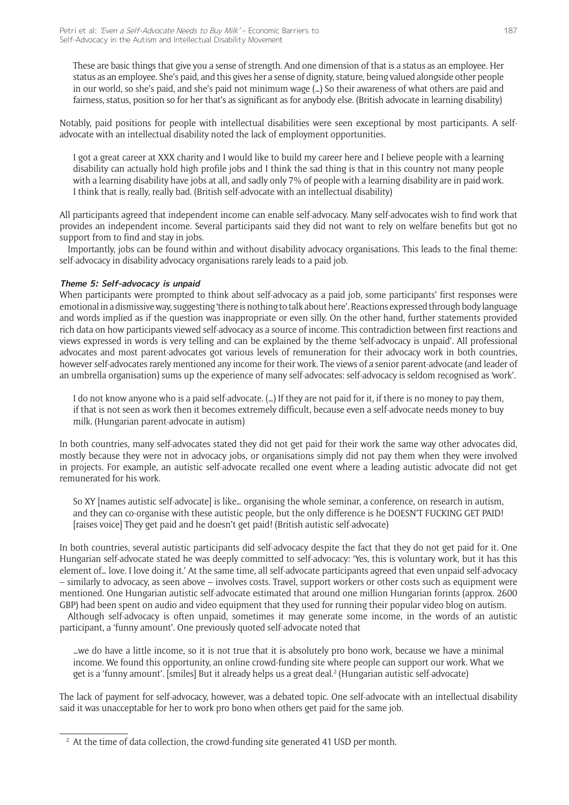These are basic things that give you a sense of strength. And one dimension of that is a status as an employee. Her status as an employee. She's paid, and this gives her a sense of dignity, stature, being valued alongside other people in our world, so she's paid, and she's paid not minimum wage (…) So their awareness of what others are paid and fairness, status, position so for her that's as significant as for anybody else. (British advocate in learning disability)

Notably, paid positions for people with intellectual disabilities were seen exceptional by most participants. A selfadvocate with an intellectual disability noted the lack of employment opportunities.

I got a great career at XXX charity and I would like to build my career here and I believe people with a learning disability can actually hold high profile jobs and I think the sad thing is that in this country not many people with a learning disability have jobs at all, and sadly only 7% of people with a learning disability are in paid work. I think that is really, really bad. (British self-advocate with an intellectual disability)

All participants agreed that independent income can enable self-advocacy. Many self-advocates wish to find work that provides an independent income. Several participants said they did not want to rely on welfare benefits but got no support from to find and stay in jobs.

Importantly, jobs can be found within and without disability advocacy organisations. This leads to the final theme: self-advocacy in disability advocacy organisations rarely leads to a paid job.

#### **Theme 5: Self-advocacy is unpaid**

When participants were prompted to think about self-advocacy as a paid job, some participants' first responses were emotional in a dismissive way, suggesting 'there is nothing to talk about here'. Reactions expressed through body language and words implied as if the question was inappropriate or even silly. On the other hand, further statements provided rich data on how participants viewed self-advocacy as a source of income. This contradiction between first reactions and views expressed in words is very telling and can be explained by the theme 'self-advocacy is unpaid'. All professional advocates and most parent-advocates got various levels of remuneration for their advocacy work in both countries, however self-advocates rarely mentioned any income for their work. The views of a senior parent-advocate (and leader of an umbrella organisation) sums up the experience of many self-advocates: self-advocacy is seldom recognised as 'work'.

I do not know anyone who is a paid self-advocate. (…) If they are not paid for it, if there is no money to pay them, if that is not seen as work then it becomes extremely difficult, because even a self-advocate needs money to buy milk. (Hungarian parent-advocate in autism)

In both countries, many self-advocates stated they did not get paid for their work the same way other advocates did, mostly because they were not in advocacy jobs, or organisations simply did not pay them when they were involved in projects. For example, an autistic self-advocate recalled one event where a leading autistic advocate did not get remunerated for his work.

So XY [names autistic self-advocate] is like… organising the whole seminar, a conference, on research in autism, and they can co-organise with these autistic people, but the only difference is he DOESN'T FUCKING GET PAID! [raises voice] They get paid and he doesn't get paid! (British autistic self-advocate)

In both countries, several autistic participants did self-advocacy despite the fact that they do not get paid for it. One Hungarian self-advocate stated he was deeply committed to self-advocacy: 'Yes, this is voluntary work, but it has this element of… love. I love doing it.' At the same time, all self-advocate participants agreed that even unpaid self-advocacy – similarly to advocacy, as seen above – involves costs. Travel, support workers or other costs such as equipment were mentioned. One Hungarian autistic self-advocate estimated that around one million Hungarian forints (approx. 2600 GBP) had been spent on audio and video equipment that they used for running their popular video blog on autism.

Although self-advocacy is often unpaid, sometimes it may generate some income, in the words of an autistic participant, a 'funny amount'. One previously quoted self-advocate noted that

…we do have a little income, so it is not true that it is absolutely pro bono work, because we have a minimal income. We found this opportunity, an online crowd-funding site where people can support our work. What we get is a 'funny amount'. [smiles] But it already helps us a great deal.2 (Hungarian autistic self-advocate)

The lack of payment for self-advocacy, however, was a debated topic. One self-advocate with an intellectual disability said it was unacceptable for her to work pro bono when others get paid for the same job.

<sup>&</sup>lt;sup>2</sup> At the time of data collection, the crowd-funding site generated 41 USD per month.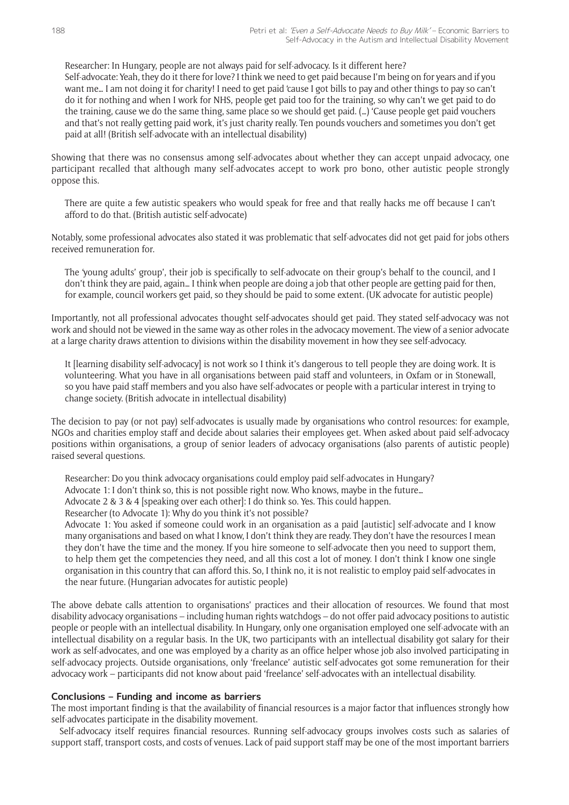Researcher: In Hungary, people are not always paid for self-advocacy. Is it different here? Self-advocate: Yeah, they do it there for love? I think we need to get paid because I'm being on for years and if you want me… I am not doing it for charity! I need to get paid 'cause I got bills to pay and other things to pay so can't do it for nothing and when I work for NHS, people get paid too for the training, so why can't we get paid to do the training, cause we do the same thing, same place so we should get paid. (…) 'Cause people get paid vouchers and that's not really getting paid work, it's just charity really. Ten pounds vouchers and sometimes you don't get paid at all! (British self-advocate with an intellectual disability)

Showing that there was no consensus among self-advocates about whether they can accept unpaid advocacy, one participant recalled that although many self-advocates accept to work pro bono, other autistic people strongly oppose this.

There are quite a few autistic speakers who would speak for free and that really hacks me off because I can't afford to do that. (British autistic self-advocate)

Notably, some professional advocates also stated it was problematic that self-advocates did not get paid for jobs others received remuneration for.

The 'young adults' group', their job is specifically to self-advocate on their group's behalf to the council, and I don't think they are paid, again… I think when people are doing a job that other people are getting paid for then, for example, council workers get paid, so they should be paid to some extent. (UK advocate for autistic people)

Importantly, not all professional advocates thought self-advocates should get paid. They stated self-advocacy was not work and should not be viewed in the same way as other roles in the advocacy movement. The view of a senior advocate at a large charity draws attention to divisions within the disability movement in how they see self-advocacy.

It [learning disability self-advocacy] is not work so I think it's dangerous to tell people they are doing work. It is volunteering. What you have in all organisations between paid staff and volunteers, in Oxfam or in Stonewall, so you have paid staff members and you also have self-advocates or people with a particular interest in trying to change society. (British advocate in intellectual disability)

The decision to pay (or not pay) self-advocates is usually made by organisations who control resources: for example, NGOs and charities employ staff and decide about salaries their employees get. When asked about paid self-advocacy positions within organisations, a group of senior leaders of advocacy organisations (also parents of autistic people) raised several questions.

Researcher: Do you think advocacy organisations could employ paid self-advocates in Hungary?

Advocate 1: I don't think so, this is not possible right now. Who knows, maybe in the future…

Advocate 2 & 3 & 4 [speaking over each other]: I do think so. Yes. This could happen.

Researcher (to Advocate 1): Why do you think it's not possible?

Advocate 1: You asked if someone could work in an organisation as a paid [autistic] self-advocate and I know many organisations and based on what I know, I don't think they are ready. They don't have the resources I mean they don't have the time and the money. If you hire someone to self-advocate then you need to support them, to help them get the competencies they need, and all this cost a lot of money. I don't think I know one single organisation in this country that can afford this. So, I think no, it is not realistic to employ paid self-advocates in the near future. (Hungarian advocates for autistic people)

The above debate calls attention to organisations' practices and their allocation of resources. We found that most disability advocacy organisations – including human rights watchdogs – do not offer paid advocacy positions to autistic people or people with an intellectual disability. In Hungary, only one organisation employed one self-advocate with an intellectual disability on a regular basis. In the UK, two participants with an intellectual disability got salary for their work as self-advocates, and one was employed by a charity as an office helper whose job also involved participating in self-advocacy projects. Outside organisations, only 'freelance' autistic self-advocates got some remuneration for their advocacy work – participants did not know about paid 'freelance' self-advocates with an intellectual disability.

#### **Conclusions – Funding and income as barriers**

The most important finding is that the availability of financial resources is a major factor that influences strongly how self-advocates participate in the disability movement.

Self-advocacy itself requires financial resources. Running self-advocacy groups involves costs such as salaries of support staff, transport costs, and costs of venues. Lack of paid support staff may be one of the most important barriers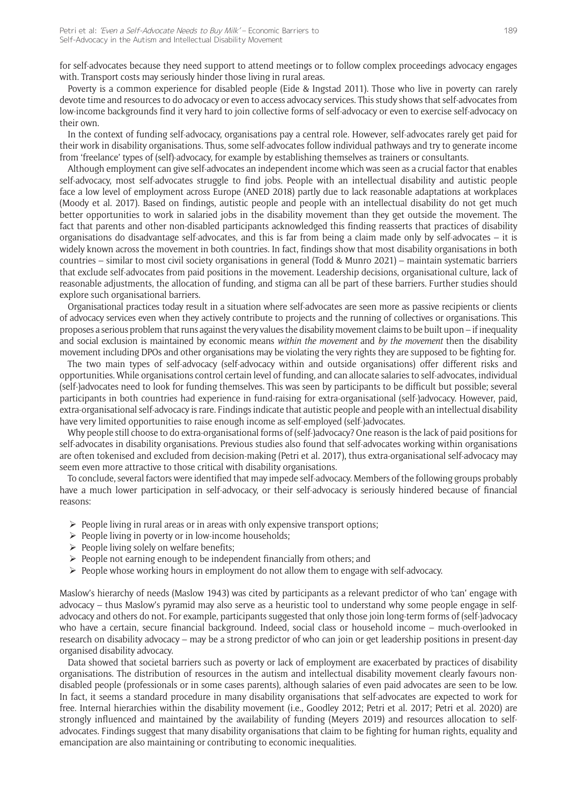for self-advocates because they need support to attend meetings or to follow complex proceedings advocacy engages with. Transport costs may seriously hinder those living in rural areas.

Poverty is a common experience for disabled people (Eide & Ingstad 2011). Those who live in poverty can rarely devote time and resources to do advocacy or even to access advocacy services. This study shows that self-advocates from low-income backgrounds find it very hard to join collective forms of self-advocacy or even to exercise self-advocacy on their own.

In the context of funding self-advocacy, organisations pay a central role. However, self-advocates rarely get paid for their work in disability organisations. Thus, some self-advocates follow individual pathways and try to generate income from 'freelance' types of (self)-advocacy, for example by establishing themselves as trainers or consultants.

Although employment can give self-advocates an independent income which was seen as a crucial factor that enables self-advocacy, most self-advocates struggle to find jobs. People with an intellectual disability and autistic people face a low level of employment across Europe (ANED 2018) partly due to lack reasonable adaptations at workplaces (Moody et al. 2017). Based on findings, autistic people and people with an intellectual disability do not get much better opportunities to work in salaried jobs in the disability movement than they get outside the movement. The fact that parents and other non-disabled participants acknowledged this finding reasserts that practices of disability organisations do disadvantage self-advocates, and this is far from being a claim made only by self-advocates – it is widely known across the movement in both countries. In fact, findings show that most disability organisations in both countries – similar to most civil society organisations in general (Todd & Munro 2021) – maintain systematic barriers that exclude self-advocates from paid positions in the movement. Leadership decisions, organisational culture, lack of reasonable adjustments, the allocation of funding, and stigma can all be part of these barriers. Further studies should explore such organisational barriers.

Organisational practices today result in a situation where self-advocates are seen more as passive recipients or clients of advocacy services even when they actively contribute to projects and the running of collectives or organisations. This proposes a serious problem that runs against the very values the disability movement claims to be built upon – if inequality and social exclusion is maintained by economic means *within the movement* and *by the movement* then the disability movement including DPOs and other organisations may be violating the very rights they are supposed to be fighting for.

The two main types of self-advocacy (self-advocacy within and outside organisations) offer different risks and opportunities. While organisations control certain level of funding, and can allocate salaries to self-advocates, individual (self-)advocates need to look for funding themselves. This was seen by participants to be difficult but possible; several participants in both countries had experience in fund-raising for extra-organisational (self-)advocacy. However, paid, extra-organisational self-advocacy is rare. Findings indicate that autistic people and people with an intellectual disability have very limited opportunities to raise enough income as self-employed (self-)advocates.

Why people still choose to do extra-organisational forms of (self-)advocacy? One reason is the lack of paid positions for self-advocates in disability organisations. Previous studies also found that self-advocates working within organisations are often tokenised and excluded from decision-making (Petri et al. 2017), thus extra-organisational self-advocacy may seem even more attractive to those critical with disability organisations.

To conclude, several factors were identified that may impede self-advocacy. Members of the following groups probably have a much lower participation in self-advocacy, or their self-advocacy is seriously hindered because of financial reasons:

- $\triangleright$  People living in rural areas or in areas with only expensive transport options;
- $\triangleright$  People living in poverty or in low-income households;
- $\triangleright$  People living solely on welfare benefits;
- $\triangleright$  People not earning enough to be independent financially from others; and
- $\triangleright$  People whose working hours in employment do not allow them to engage with self-advocacy.

Maslow's hierarchy of needs (Maslow 1943) was cited by participants as a relevant predictor of who 'can' engage with advocacy – thus Maslow's pyramid may also serve as a heuristic tool to understand why some people engage in selfadvocacy and others do not. For example, participants suggested that only those join long-term forms of (self-)advocacy who have a certain, secure financial background. Indeed, social class or household income – much-overlooked in research on disability advocacy – may be a strong predictor of who can join or get leadership positions in present-day organised disability advocacy.

Data showed that societal barriers such as poverty or lack of employment are exacerbated by practices of disability organisations. The distribution of resources in the autism and intellectual disability movement clearly favours nondisabled people (professionals or in some cases parents), although salaries of even paid advocates are seen to be low. In fact, it seems a standard procedure in many disability organisations that self-advocates are expected to work for free. Internal hierarchies within the disability movement (i.e., Goodley 2012; Petri et al. 2017; Petri et al. 2020) are strongly influenced and maintained by the availability of funding (Meyers 2019) and resources allocation to selfadvocates. Findings suggest that many disability organisations that claim to be fighting for human rights, equality and emancipation are also maintaining or contributing to economic inequalities.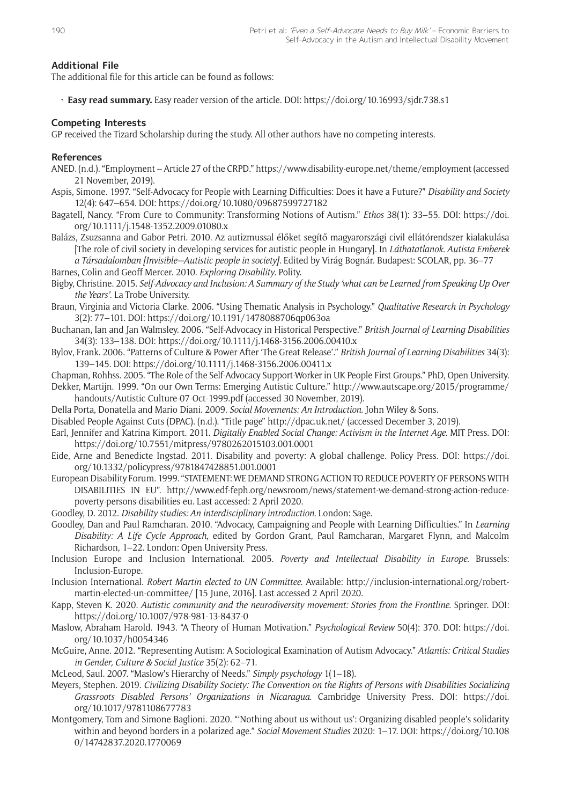#### **Additional File**

The additional file for this article can be found as follows:

• **Easy read summary.** Easy reader version of the article. DOI: <https://doi.org/10.16993/sjdr.738.s1>

#### **Competing Interests**

GP received the Tizard Scholarship during the study. All other authors have no competing interests.

#### **References**

- ANED. (n.d.). "Employment Article 27 of the CRPD."<https://www.disability-europe.net/theme/employment>(accessed 21 November, 2019).
- Aspis, Simone. 1997. "Self-Advocacy for People with Learning Difficulties: Does it have a Future?" *Disability and Society* 12(4): 647–654. DOI: <https://doi.org/10.1080/09687599727182>
- Bagatell, Nancy. "From Cure to Community: Transforming Notions of Autism." *Ethos* 38(1): 33–55. DOI: [https://doi.](https://doi.org/10.1111/j.1548-1352.2009.01080.x) [org/10.1111/j.1548-1352.2009.01080.x](https://doi.org/10.1111/j.1548-1352.2009.01080.x)
- Balázs, Zsuzsanna and Gabor Petri. 2010. Az autizmussal élőket segítő magyarországi civil ellátórendszer kialakulása [The role of civil society in developing services for autistic people in Hungary]. In *Láthatatlanok. Autista Emberek a Társadalomban [Invisible—Autistic people in society]*. Edited by Virág Bognár. Budapest: SCOLAR, pp. 36–77
- Barnes, Colin and Geoff Mercer. 2010. *Exploring Disability*. Polity.
- Bigby, Christine. 2015. *Self-Advocacy and Inclusion: A Summary of the Study 'what can be Learned from Speaking Up Over the Years'*. La Trobe University.
- Braun, Virginia and Victoria Clarke. 2006. "Using Thematic Analysis in Psychology." *Qualitative Research in Psychology* 3(2): 77–101. DOI:<https://doi.org/10.1191/1478088706qp063oa>
- Buchanan, Ian and Jan Walmsley. 2006. "Self-Advocacy in Historical Perspective." *British Journal of Learning Disabilities* 34(3): 133–138. DOI:<https://doi.org/10.1111/j.1468-3156.2006.00410.x>
- Bylov, Frank. 2006. "Patterns of Culture & Power After 'The Great Release'." *British Journal of Learning Disabilities* 34(3): 139–145. DOI:<https://doi.org/10.1111/j.1468-3156.2006.00411.x>
- Chapman, Rohhss. 2005. "The Role of the Self-Advocacy Support-Worker in UK People First Groups." PhD, Open University. Dekker, Martijn. 1999. "On our Own Terms: Emerging Autistic Culture." [http://www.autscape.org/2015/programme/](http://www.autscape.org/2015/programme/handouts/Autistic-Culture-07-Oct-1999.pdf) [handouts/Autistic-Culture-07-Oct-1999.pdf](http://www.autscape.org/2015/programme/handouts/Autistic-Culture-07-Oct-1999.pdf) (accessed 30 November, 2019).
- Della Porta, Donatella and Mario Diani. 2009. *Social Movements: An Introduction*. John Wiley & Sons.
- Disabled People Against Cuts (DPAC). (n.d.). "Title page"<http://dpac.uk.net/> (accessed December 3, 2019).
- Earl, Jennifer and Katrina Kimport. 2011. *Digitally Enabled Social Change: Activism in the Internet Age*. MIT Press. DOI: <https://doi.org/10.7551/mitpress/9780262015103.001.0001>
- Eide, Arne and Benedicte Ingstad. 2011. Disability and poverty: A global challenge. Policy Press. DOI: [https://doi.](https://doi.org/10.1332/policypress/9781847428851.001.0001) [org/10.1332/policypress/9781847428851.001.0001](https://doi.org/10.1332/policypress/9781847428851.001.0001)
- European Disability Forum. 1999. "STATEMENT: WE DEMAND STRONG ACTION TO REDUCE POVERTY OF PERSONS WITH DISABILITIES IN EU". [http://www.edf-feph.org/newsroom/news/statement-we-demand-strong-action-reduce](http://www.edf-feph.org/newsroom/news/statement-we-demand-strong-action-reduce-poverty-persons-disabilities-eu)[poverty-persons-disabilities-eu](http://www.edf-feph.org/newsroom/news/statement-we-demand-strong-action-reduce-poverty-persons-disabilities-eu). Last accessed: 2 April 2020.
- Goodley, D. 2012. *Disability studies: An interdisciplinary introduction*. London: Sage.
- Goodley, Dan and Paul Ramcharan. 2010. "Advocacy, Campaigning and People with Learning Difficulties." In *Learning Disability: A Life Cycle Approach*, edited by Gordon Grant, Paul Ramcharan, Margaret Flynn, and Malcolm Richardson, 1–22. London: Open University Press.
- Inclusion Europe and Inclusion International. 2005. *Poverty and Intellectual Disability in Europe*. Brussels: Inclusion-Europe.
- Inclusion International. *Robert Martin elected to UN Committee*. Available: [http://inclusion-international.org/robert](http://inclusion-international.org/robert-martin-elected-un-committee/)[martin-elected-un-committee/](http://inclusion-international.org/robert-martin-elected-un-committee/) [15 June, 2016]. Last accessed 2 April 2020.
- Kapp, Steven K. 2020. *Autistic community and the neurodiversity movement: Stories from the Frontline*. Springer. DOI: <https://doi.org/10.1007/978-981-13-8437-0>
- Maslow, Abraham Harold. 1943. "A Theory of Human Motivation." *Psychological Review* 50(4): 370. DOI: [https://doi.](https://doi.org/10.1037/h0054346) [org/10.1037/h0054346](https://doi.org/10.1037/h0054346)
- McGuire, Anne. 2012. "Representing Autism: A Sociological Examination of Autism Advocacy." *Atlantis: Critical Studies in Gender, Culture & Social Justice* 35(2): 62–71.
- McLeod, Saul. 2007. "Maslow's Hierarchy of Needs." *Simply psychology* 1(1–18).
- Meyers, Stephen. 2019. *Civilizing Disability Society: The Convention on the Rights of Persons with Disabilities Socializing Grassroots Disabled Persons' Organizations in Nicaragua*. Cambridge University Press. DOI: [https://doi.](https://doi.org/10.1017/9781108677783) [org/10.1017/9781108677783](https://doi.org/10.1017/9781108677783)
- Montgomery, Tom and Simone Baglioni. 2020. "'Nothing about us without us': Organizing disabled people's solidarity within and beyond borders in a polarized age." *Social Movement Studies* 2020: 1–17. DOI: [https://doi.org/10.108](https://doi.org/10.1080/14742837.2020.1770069) [0/14742837.2020.1770069](https://doi.org/10.1080/14742837.2020.1770069)